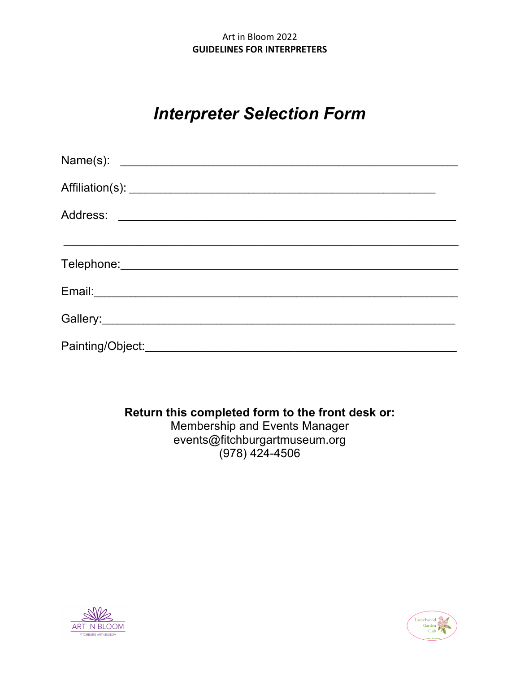## Art in Bloom 2022 **GUIDELINES FOR INTERPRETERS**

# **Interpreter Selection Form**

| Affiliation(s): <u>Affiliation(s)</u>                                                                                                                                                                                          |  |  |
|--------------------------------------------------------------------------------------------------------------------------------------------------------------------------------------------------------------------------------|--|--|
|                                                                                                                                                                                                                                |  |  |
|                                                                                                                                                                                                                                |  |  |
|                                                                                                                                                                                                                                |  |  |
| Email: experience and a series of the series of the series of the series of the series of the series of the series of the series of the series of the series of the series of the series of the series of the series of the se |  |  |
|                                                                                                                                                                                                                                |  |  |
|                                                                                                                                                                                                                                |  |  |

## Return this completed form to the front desk or:

Membership and Events Manager events@fitchburgartmuseum.org  $(978)$  424-4506



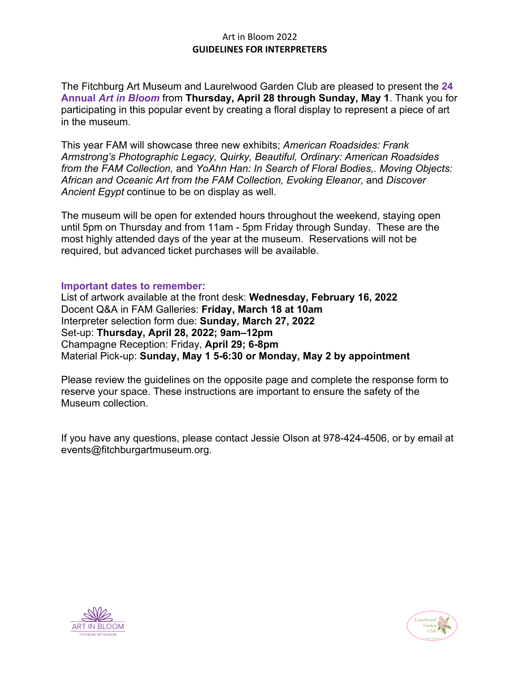## Art in Bloom 2022 **GUIDELINES FOR INTERPRETERS**

The Fitchburg Art Museum and Laurelwood Garden Club are pleased to present the **24 Annual** *Art in Bloom* from **Thursday, April 28 through Sunday, May 1**. Thank you for participating in this popular event by creating a floral display to represent a piece of art in the museum.

This year FAM will showcase three new exhibits; *American Roadsides: Frank Armstrong's Photographic Legacy, Quirky, Beautiful, Ordinary: American Roadsides from the FAM Collection,* and *YoAhn Han: In Search of Floral Bodies,. Moving Objects: African and Oceanic Art from the FAM Collection, Evoking Eleanor,* and *Discover Ancient Egypt* continue to be on display as well.

The museum will be open for extended hours throughout the weekend, staying open until 5pm on Thursday and from 11am - 5pm Friday through Sunday. These are the most highly attended days of the year at the museum. Reservations will not be required, but advanced ticket purchases will be available.

#### **Important dates to remember:**

List of artwork available at the front desk: **Wednesday, February 16, 2022** Docent Q&A in FAM Galleries: **Friday, March 18 at 10am** Interpreter selection form due: **Sunday, March 27, 2022** Set-up: **Thursday, April 28, 2022; 9am–12pm** Champagne Reception: Friday, **April 29; 6-8pm** Material Pick-up: **Sunday, May 1 5-6:30 or Monday, May 2 by appointment**

Please review the guidelines on the opposite page and complete the response form to reserve your space. These instructions are important to ensure the safety of the Museum collection.

If you have any questions, please contact Jessie Olson at 978-424-4506, or by email at events@fitchburgartmuseum.org.